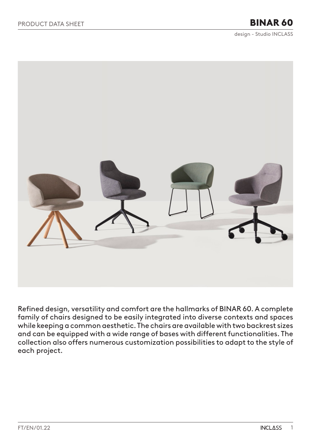design - Studio INCLASS

<span id="page-0-0"></span>

Refined design, versatility and comfort are the hallmarks of BINAR 60. A complete family of chairs designed to be easily integrated into diverse contexts and spaces while keeping a common aesthetic. The chairs are available with two backrest sizes and can be equipped with a wide range of bases with different functionalities. The collection also offers numerous customization possibilities to adapt to the style of each project.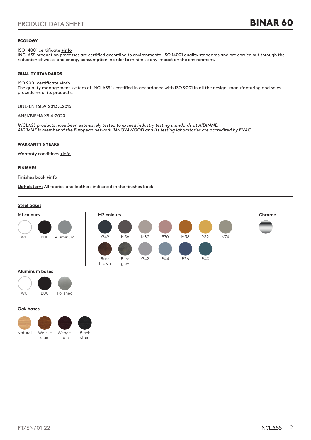### **ECOLOGY**

### ISO 14001 certificate **+info**

INCLASS production processes are certified according to environmental ISO 14001 quality standards and are carried out through the reduction of waste and energy consumption in order to minimise any impact on the environment.

### QUALITY STANDARDS

# ISO 9001 certificate  $\pm$ info

The quality management system of INCLASS is certified in accordance with ISO 9001 in all the design, manufacturing and sales procedures of its products.

UNE-EN 16139:2013vc2015

ANSI/BIFMA X5.4:2020

*INCLASS products have been extensively tested to exceed industry testing standards at AIDIMME. AIDIMME is member of the European network INNOVAWOOD and its testing laboratories are accredited by ENAC.*

### WARRANTY 5 YEARS

Warranty conditions **+info** 

### FINISHES

### Finishes book [+info](https://inclass.es/wp-content/files_mf/1641567883BINAR60_FinishesBook.pdf)

**Upholstery:** All fabrics and leathers indicated in the finishes book.



### **Aluminum bases**



### **Oak bases**

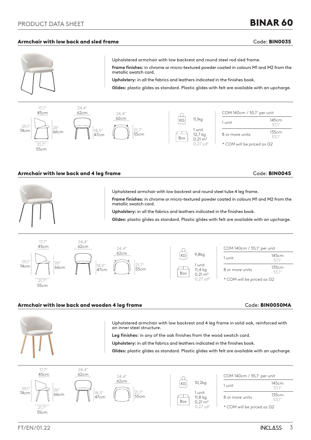# PRODUCT DATA SHEET

### Armchair with low back and sled frame Code: BIN0035

BINAR 60



Upholstered armchair with low backrest and round steel rod sled frame.

**Frame finishes:** in chrome or micro-textured powder coated in colours M1 and M2 from the metallic swatch card.

**Upholstery:** in all the fabrics and leathers indicated in the finishes book.

**Glides:** plastic glides as standard. Plastic glides with felt are available with an upcharge.



### Armchair with low back and 4 leg frame Code: BIN0045



Upholstered armchair with low backrest and round steel tube 4 leg frame. **Frame finishes:** in chrome or micro-textured powder coated in colours M1 and M2 from the metallic swatch card.

**Upholstery:** in all the fabrics and leathers indicated in the finishes book.

**Glides:** plastic glides as standard. Plastic glides with felt are available with an upcharge.



### Armchair with low back and wooden 4 leg frame Theorem Code: BIN0050MA



Upholstered armchair with low backrest and 4 leg frame in solid oak, reinforced with an inner steel structure.

**Leg finishes:** in any of the oak finishes from the wood swatch card.

**Upholstery:** in all the fabrics and leathers indicated in the finishes book.

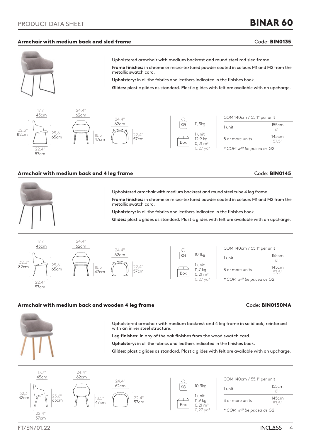# PRODUCT DATA SHEET

### Armchair with medium back and sled frame Code: BIN0135

BINAR 60



Upholstered armchair with medium backrest and round steel rod sled frame.

**Frame finishes:** in chrome or micro-textured powder coated in colours M1 and M2 from the metallic swatch card.

**Upholstery:** in all the fabrics and leathers indicated in the finishes book.

**Glides:** plastic glides as standard. Plastic glides with felt are available with an upcharge.



### Armchair with medium back and 4 leg frame Code: BIN0145



Upholstered armchair with medium backrest and round steel tube 4 leg frame. **Frame finishes:** in chrome or micro-textured powder coated in colours M1 and M2 from the metallic swatch card.

**Upholstery:** in all the fabrics and leathers indicated in the finishes book.

**Glides:** plastic glides as standard. Plastic glides with felt are available with an upcharge.



### Armchair with medium back and wooden 4 leg frame Theorem Code: BIN0150MA



Upholstered armchair with medium backrest and 4 leg frame in solid oak, reinforced with an inner steel structure.

**Leg finishes:** in any of the oak finishes from the wood swatch card.

**Upholstery:** in all the fabrics and leathers indicated in the finishes book.

**Glides:** plastic glides as standard. Plastic glides with felt are available with an upcharge.



# FT/EN/01.22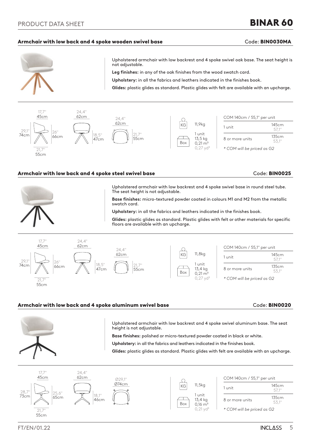### Armchair with low back and 4 spoke wooden swivel base and contact the Code: BIN0030MA

BINAR 60



Upholstered armchair with low backrest and 4 spoke swivel oak base. The seat height is not adjustable.

**Leg finishes:** in any of the oak finishes from the wood swatch card.

**Upholstery:** in all the fabrics and leathers indicated in the finishes book.

**Glides:** plastic glides as standard. Plastic glides with felt are available with an upcharge.



### Armchair with low back and 4 spoke steel swivel base Code: BIN0025 and Code: BIN0025



Upholstered armchair with low backrest and 4 spoke swivel base in round steel tube. The seat height is not adjustable.

**Base finishes:** micro-textured powder coated in colours M1 and M2 from the metallic swatch card.

**Upholstery:** in all the fabrics and leathers indicated in the finishes book.

**Glides:** plastic glides as standard. Plastic glides with felt or other materials for specific floors are available with an upcharge.



### Armchair with low back and 4 spoke aluminum swivel base **Code: BIN0020** Code: BIN0020



Upholstered armchair with low backrest and 4 spoke swivel aluminum base. The seat height is not adjustable.

**Base finishes:** polished or micro-textured powder coated in black or white.

**Upholstery:** in all the fabrics and leathers indicated in the finishes book.

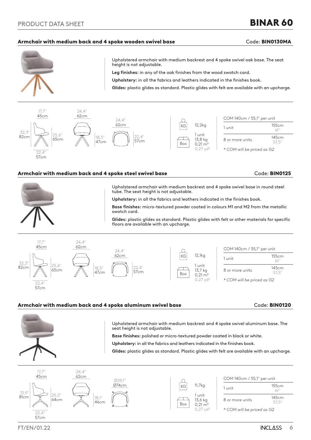# BINAR 60

### Armchair with medium back and 4 spoke wooden swivel base **Constanting Code: BIN0130MA**



Upholstered armchair with medium backrest and 4 spoke swivel oak base. The seat height is not adjustable.

**Leg finishes:** in any of the oak finishes from the wood swatch card.

**Upholstery:** in all the fabrics and leathers indicated in the finishes book.

**Glides:** plastic glides as standard. Plastic glides with felt are available with an upcharge.



### Armchair with medium back and 4 spoke steel swivel base and contact the Code: BIN0125



Upholstered armchair with medium backrest and 4 spoke swivel base in round steel tube. The seat height is not adjustable.

**Upholstery:** in all the fabrics and leathers indicated in the finishes book.

**Base finishes:** micro-textured powder coated in colours M1 and M2 from the metallic swatch card.

**Glides:** plastic glides as standard. Plastic glides with felt or other materials for specific floors are available with an upcharge.



### Armchair with medium back and 4 spoke aluminum swivel base **Code: BIN0120** Code: BIN0120



Upholstered armchair with medium backrest and 4 spoke swivel aluminum base. The seat height is not adjustable.

**Base finishes:** polished or micro-textured powder coated in black or white.

**Upholstery:** in all the fabrics and leathers indicated in the finishes book.

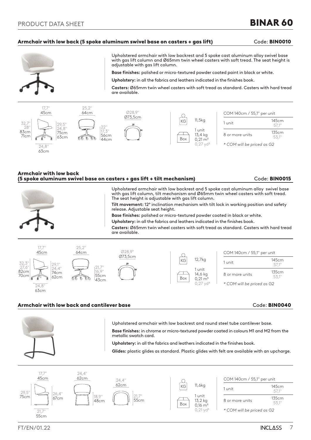# Armchair with low back (5 spoke aluminum swivel base on casters + gas lift) Code: BIN0010



Upholstered armchair with low backrest and 5 spoke cast aluminum alloy swivel base with gas lift column and Ø65mm twin wheel casters with soft tread. The seat height is adjustable with gas lift column.

**Base finishes:** polished or micro-textured powder coated paint in black or white.

**Upholstery:** in all the fabrics and leathers indicated in the finishes book.

**Casters:** Ø65mm twin wheel casters with soft tread as standard. Casters with hard tread are available.



### Armchair with low back (5 spoke aluminum swivel base on casters + gas lift + tilt mechanism) Code: BIN0015

Upholstered armchair with low backrest and 5 spoke cast aluminum alloy swivel base with gas lift column, tilt mechanism and Ø65mm twin wheel casters with soft tread. The seat height is adjustable with gas lift column.

**Tilt movement:** 12º inclination mechanism with tilt lock in working position and safety release. Adjustable seat height.

**Base finishes:** polished or micro-textured powder coated in black or white.

**Upholstery:** in all the fabrics and leathers indicated in the finishes book.

**Casters:** Ø65mm twin wheel casters with soft tread as standard. Casters with hard tread are available.



### Armchair with low back and cantilever base Code: BIN0040 (Code: BIN0040)



Upholstered armchair with low backrest and round steel tube cantilever base.

**Base finishes:** in chrome or micro-textured powder coated in colours M1 and M2 from the metallic swatch card.

**Upholstery:** in all the fabrics and leathers indicated in the finishes book.

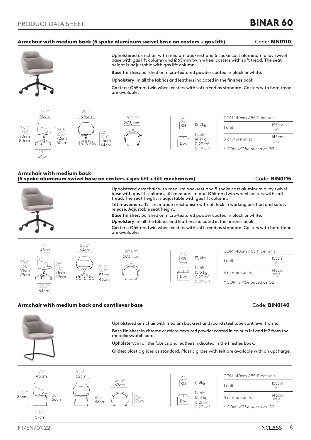### Armchair with medium back (5 spoke aluminum swivel base on casters + gas lift) Code: BIN0110



Upholstered armchair with medium backrest and 5 spoke cast aluminum alloy swivel base with gas lift column and Ø65mm twin wheel casters with soft tread. The seat height is adjustable with gas lift column.

**Base finishes:** polished or micro-textured powder coated in black or white.

**Upholstery:** in all the fabrics and leathers indicated in the finishes book.

**Casters:** Ø65mm twin wheel casters with soft tread as standard. Casters with hard tread are available.



### Armchair with medium back (5 spoke aluminum swivel base on casters + gas lift + tilt mechanism) Code: BIN0115



Upholstered armchair with medium backrest and 5 spoke cast aluminum alloy swivel base with gas lift column, tilt mechanism and Ø65mm twin wheel casters with soft tread. The seat height is adjustable with gas lift column. **Tilt movement:** 12º inclination mechanism with tilt lock in working position and safety

release. Adjustable seat height.

**Base finishes:** polished or micro-textured powder coated in black or white.

**Upholstery:** in all the fabrics and leathers indicated in the finishes book.

**Casters:** Ø65mm twin wheel casters with soft tread as standard. Casters with hard tread are available.



### Armchair with medium back and cantilever base Code: BIN0140



Upholstered armchair with medium backrest and round steel tube cantilever frame.

**Base finishes:** in chrome or micro-textured powder coated in colours M1 and M2 from the metallic swatch card.

**Upholstery:** in all the fabrics and leathers indicated in the finishes book.

**Glides:** plastic glides as standard. Plastic glides with felt are available with an upcharge.



FT/EN/01.22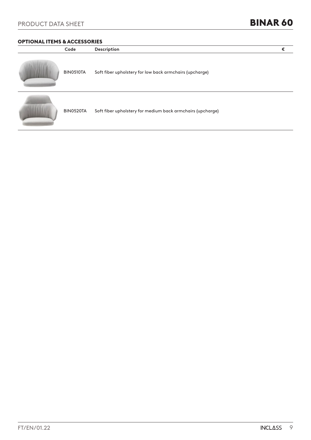# OPTIONAL ITEMS & ACCESSORIES

| Code      | Description                                                | € |
|-----------|------------------------------------------------------------|---|
| BIN0510TA | Soft fiber upholstery for low back armchairs (upcharge)    |   |
| BIN0520TA | Soft fiber upholstery for medium back armchairs (upcharge) |   |